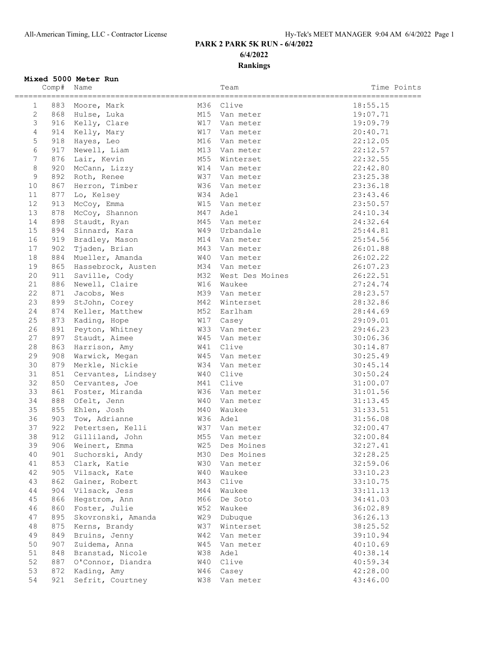## **PARK 2 PARK 5K RUN - 6/4/2022 6/4/2022 Rankings**

## **Mixed 5000 Meter Run**

|                 | Comp# | Name               |            | Team            | Time Points            |
|-----------------|-------|--------------------|------------|-----------------|------------------------|
| 1               | 883   | Moore, Mark        | M36        | Clive           | ==========<br>18:55.15 |
| $\mathbf{2}$    | 868   | Hulse, Luka        | M15        | Van meter       | 19:07.71               |
| 3               |       | 916 Kelly, Clare   | <b>W17</b> | Van meter       | 19:09.79               |
| 4               | 914   | Kelly, Mary        | W17        | Van meter       | 20:40.71               |
| 5               | 918   | Hayes, Leo         | M16        | Van meter       | 22:12.05               |
| 6               | 917   | Newell, Liam       | M13        | Van meter       | 22:12.57               |
| $7\overline{ }$ | 876   | Lair, Kevin        | M55        | Winterset       | 22:32.55               |
| $\,8\,$         | 920   | McCann, Lizzy      | W14        | Van meter       | 22:42.80               |
| $\mathsf 9$     | 892   | Roth, Renee        | W37        | Van meter       | 23:25.38               |
| 10              | 867   | Herron, Timber     | W36        | Van meter       | 23:36.18               |
| 11              | 877   | Lo, Kelsey         | W34        | Adel            | 23:43.46               |
| 12              | 913   | McCoy, Emma        | W15        | Van meter       | 23:50.57               |
| 13              | 878   | McCoy, Shannon     | M47        | Adel            | 24:10.34               |
| 14              | 898   | Staudt, Ryan       | M45        | Van meter       | 24:32.64               |
| 15              | 894   | Sinnard, Kara      | W49        | Urbandale       | 25:44.81               |
| 16              | 919   | Bradley, Mason     | M14        | Van meter       | 25:54.56               |
| 17              | 902   | Tjaden, Brian      | M43        | Van meter       | 26:01.88               |
| 18              | 884   | Mueller, Amanda    | W40        | Van meter       | 26:02.22               |
| 19              | 865   | Hassebrock, Austen | M34        | Van meter       | 26:07.23               |
| 20              | 911   | Saville, Cody      | M32        | West Des Moines | 26:22.51               |
| 21              | 886   | Newell, Claire     | W16        | Waukee          | 27:24.74               |
| 22              | 871   | Jacobs, Wes        | M39        | Van meter       | 28:23.57               |
| 23              | 899   | StJohn, Corey      | M42        | Winterset       | 28:32.86               |
| 24              | 874   | Keller, Matthew    | M52        | Earlham         | 28:44.69               |
| 25              | 873   | Kading, Hope       | W17        | Casey           | 29:09.01               |
| 26              | 891   | Peyton, Whitney    | W33        | Van meter       | 29:46.23               |
| 27              | 897   | Staudt, Aimee      | W45        | Van meter       | 30:06.36               |
| 28              | 863   | Harrison, Amy      | W41        | Clive           | 30:14.87               |
| 29              | 908   | Warwick, Megan     | W45        | Van meter       | 30:25.49               |
| 30              | 879   | Merkle, Nickie     | W34        | Van meter       | 30:45.14               |
| 31              | 851   | Cervantes, Lindsey | W40        | Clive           | 30:50.24               |
| 32              | 850   | Cervantes, Joe     | M41        | Clive           | 31:00.07               |
| 33              | 861   | Foster, Miranda    | W36        | Van meter       | 31:01.56               |
| 34              | 888   | Ofelt, Jenn        | W40        | Van meter       | 31:13.45               |
| 35              | 855   | Ehlen, Josh        | M40        | Waukee          | 31:33.51               |
| 36              | 903   | Tow, Adrianne      | W36        | Adel            | 31:56.08               |
| 37              | 922   | Petertsen, Kelli   | W37        | Van meter       | 32:00.47               |
| 38              | 912   | Gilliland, John    | M55        | Van meter       | 32:00.84               |
| 39              | 906   | Weinert, Emma      | W25        | Des Moines      | 32:27.41               |
| 40              | 901   | Suchorski, Andy    | M30        | Des Moines      | 32:28.25               |
| 41              | 853   | Clark, Katie       | W30        | Van meter       | 32:59.06               |
| 42              | 905   | Vilsack, Kate      | W40        | Waukee          | 33:10.23               |
| 43              | 862   | Gainer, Robert     | M43        | Clive           | 33:10.75               |
| 44              | 904   | Vilsack, Jess      | M44        | Waukee          | 33:11.13               |
| 45              | 866   | Hegstrom, Ann      | M66        | De Soto         | 34:41.03               |
| 46              | 860   | Foster, Julie      | W52        | Waukee          | 36:02.89               |
| 47              | 895   | Skovronski, Amanda | W29        | Dubuque         | 36:26.13               |
| 48              | 875   | Kerns, Brandy      | W37        | Winterset       | 38:25.52               |
| 49              | 849   | Bruins, Jenny      | <b>W42</b> | Van meter       | 39:10.94               |
| 50              | 907   | Zuidema, Anna      | W45        | Van meter       | 40:10.69               |
| 51              | 848   | Branstad, Nicole   | W38        | Adel            | 40:38.14               |
| 52              | 887   | O'Connor, Diandra  | W40        | Clive           | 40:59.34               |
| 53              | 872   | Kading, Amy        | W46        | Casey           | 42:28.00               |
| 54              | 921   | Sefrit, Courtney   | W38        | Van meter       | 43:46.00               |